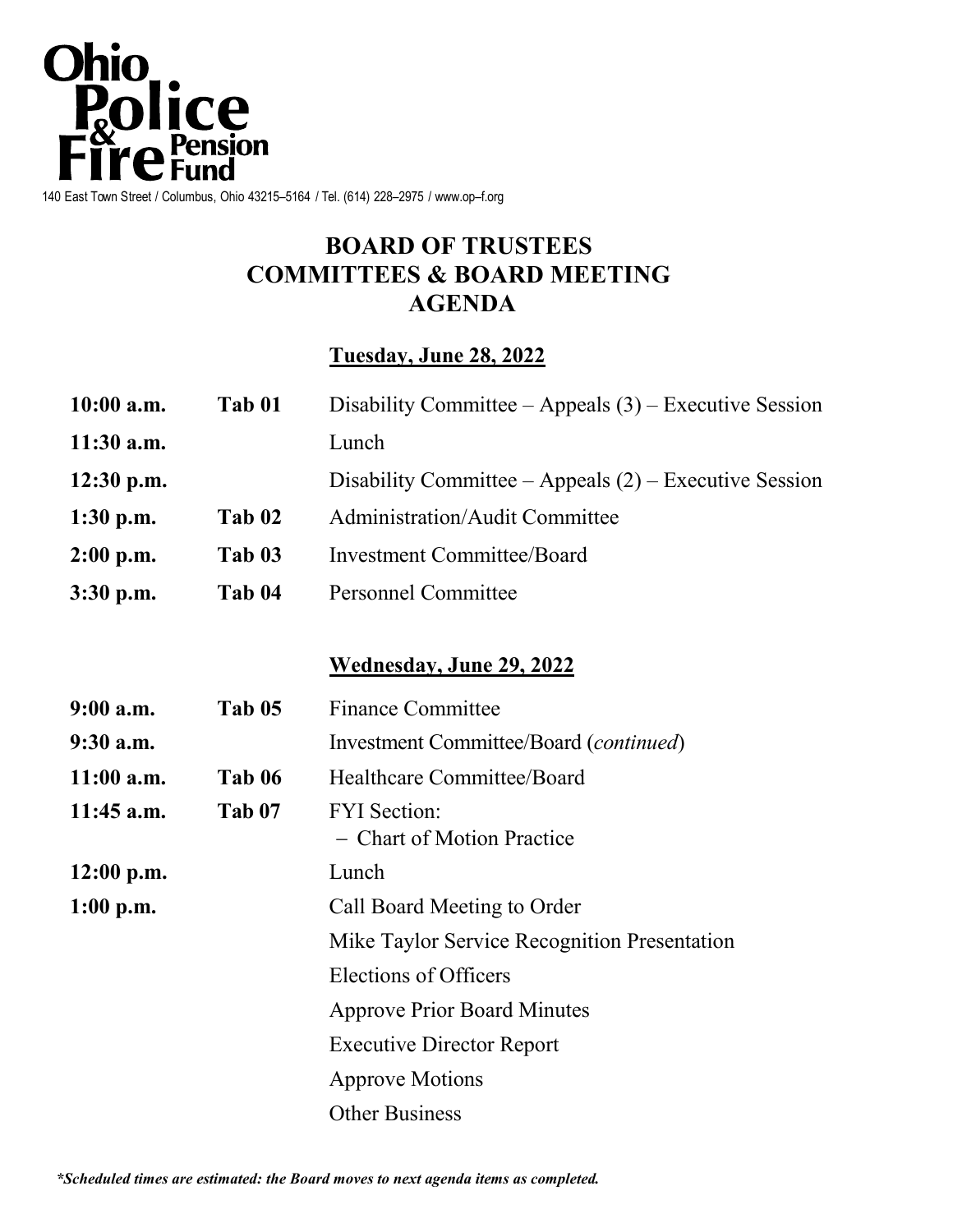

# **BOARD OF TRUSTEES COMMITTEES & BOARD MEETING AGENDA**

## **Tuesday, June 28, 2022**

| $10:00$ a.m. | Tab 01 | Disability Committee – Appeals $(3)$ – Executive Session |
|--------------|--------|----------------------------------------------------------|
| $11:30$ a.m. |        | Lunch                                                    |
| $12:30$ p.m. |        | Disability Committee – Appeals $(2)$ – Executive Session |
| $1:30$ p.m.  | Tab 02 | <b>Administration/Audit Committee</b>                    |
| $2:00$ p.m.  | Tab 03 | <b>Investment Committee/Board</b>                        |
| $3:30$ p.m.  | Tab 04 | <b>Personnel Committee</b>                               |

## **Wednesday, June 29, 2022**

| $9:00$ a.m.  | Tab 05 | <b>Finance Committee</b>                          |
|--------------|--------|---------------------------------------------------|
| $9:30$ a.m.  |        | Investment Committee/Board ( <i>continued</i> )   |
| $11:00$ a.m. | Tab 06 | Healthcare Committee/Board                        |
| $11:45$ a.m. | Tab 07 | <b>FYI</b> Section:<br>- Chart of Motion Practice |
| $12:00$ p.m. |        | Lunch                                             |
| $1:00$ p.m.  |        | Call Board Meeting to Order                       |
|              |        | Mike Taylor Service Recognition Presentation      |
|              |        | Elections of Officers                             |
|              |        | <b>Approve Prior Board Minutes</b>                |
|              |        | <b>Executive Director Report</b>                  |
|              |        | <b>Approve Motions</b>                            |
|              |        | <b>Other Business</b>                             |

*\*Scheduled times are estimated: the Board moves to next agenda items as completed.*